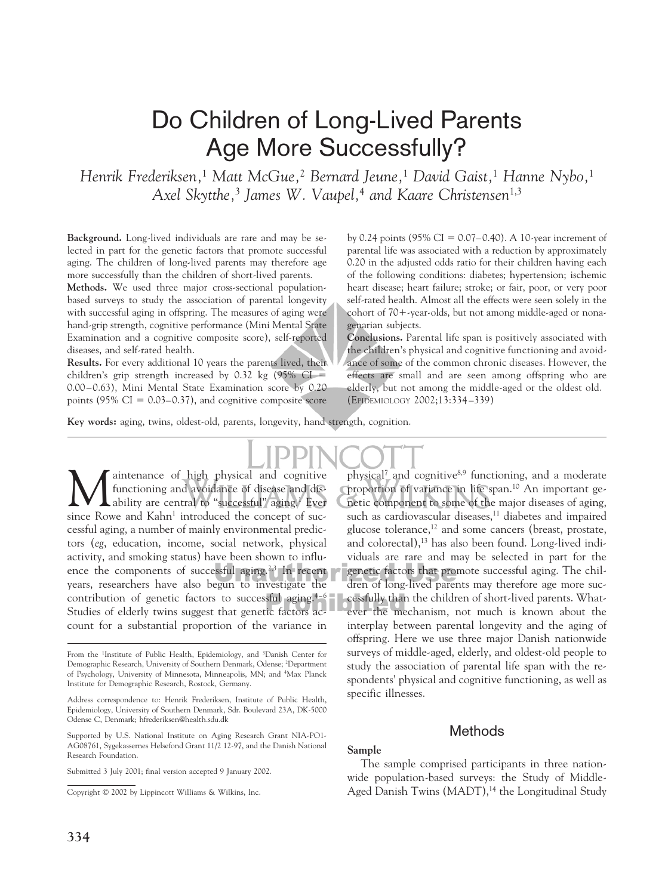# Do Children of Long-Lived Parents Age More Successfully?

*Henrik Frederiksen,*<sup>1</sup> *Matt McGue,*<sup>2</sup> *Bernard Jeune,*<sup>1</sup> *David Gaist,*<sup>1</sup> *Hanne Nybo,*<sup>1</sup> *Axel Skytthe,*<sup>3</sup> *James W. Vaupel,*<sup>4</sup> *and Kaare Christensen*1,3

**Background.** Long-lived individuals are rare and may be selected in part for the genetic factors that promote successful aging. The children of long-lived parents may therefore age more successfully than the children of short-lived parents.

**Methods.** We used three major cross-sectional populationbased surveys to study the association of parental longevity with successful aging in offspring. The measures of aging were hand-grip strength, cognitive performance (Mini Mental State Examination and a cognitive composite score), self-reported diseases, and self-rated health.

**Results.** For every additional 10 years the parents lived, their children's grip strength increased by  $0.32 \text{ kg}$  (95% CI = 0.00–0.63), Mini Mental State Examination score by 0.20 points (95%  $CI = 0.03-0.37$ ), and cognitive composite score by 0.24 points (95% CI =  $0.07-0.40$ ). A 10-year increment of parental life was associated with a reduction by approximately 0.20 in the adjusted odds ratio for their children having each of the following conditions: diabetes; hypertension; ischemic heart disease; heart failure; stroke; or fair, poor, or very poor self-rated health. Almost all the effects were seen solely in the cohort of 70--year-olds, but not among middle-aged or nonagenarian subjects.

**Conclusions.** Parental life span is positively associated with the children's physical and cognitive functioning and avoidance of some of the common chronic diseases. However, the effects are small and are seen among offspring who are elderly, but not among the middle-aged or the oldest old. (EPIDEMIOLOGY 2002;13:334–339)

**Key words:** aging, twins, oldest-old, parents, longevity, hand strength, cognition.

aintenance of high physical and cognitive functioning and avoidance of disease and dis-Ability are central to "successful" aging.<sup>1</sup> Ever since Rowe and Kahn<sup>1</sup> introduced the concept of successful aging, a number of mainly environmental predictors (*eg*, education, income, social network, physical activity, and smoking status) have been shown to influence the components of successful aging.<sup>2,3</sup> In recent years, researchers have also begun to investigate the contribution of genetic factors to successful aging. $4-6$ Studies of elderly twins suggest that genetic factors account for a substantial proportion of the variance in

**334**

physical<sup>7</sup> and cognitive<sup>8,9</sup> functioning, and a moderate proportion of variance in life span.10 An important genetic component to some of the major diseases of aging, such as cardiovascular diseases,<sup>11</sup> diabetes and impaired glucose tolerance,<sup>12</sup> and some cancers (breast, prostate, and colorectal),<sup>13</sup> has also been found. Long-lived individuals are rare and may be selected in part for the genetic factors that promote successful aging. The children of long-lived parents may therefore age more successfully than the children of short-lived parents. Whatever the mechanism, not much is known about the interplay between parental longevity and the aging of offspring. Here we use three major Danish nationwide surveys of middle-aged, elderly, and oldest-old people to study the association of parental life span with the respondents' physical and cognitive functioning, as well as specific illnesses.

### **Methods**

#### **Sample**

The sample comprised participants in three nationwide population-based surveys: the Study of Middle-Aged Danish Twins (MADT),<sup>14</sup> the Longitudinal Study

From the <sup>1</sup>Institute of Public Health, Epidemiology, and <sup>3</sup>Danish Center for Demographic Research, University of Southern Denmark, Odense; <sup>2</sup> Department of Psychology, University of Minnesota, Minneapolis, MN; and <sup>4</sup> Max Planck Institute for Demographic Research, Rostock, Germany.

Address correspondence to: Henrik Frederiksen, Institute of Public Health, Epidemiology, University of Southern Denmark, Sdr. Boulevard 23A, DK-5000 Odense C, Denmark; hfrederiksen@health.sdu.dk

Supported by U.S. National Institute on Aging Research Grant NIA-PO1- AG08761, Sygekassernes Helsefond Grant 11/2 12-97, and the Danish National Research Foundation.

Submitted 3 July 2001; final version accepted 9 January 2002.

Copyright © 2002 by Lippincott Williams & Wilkins, Inc.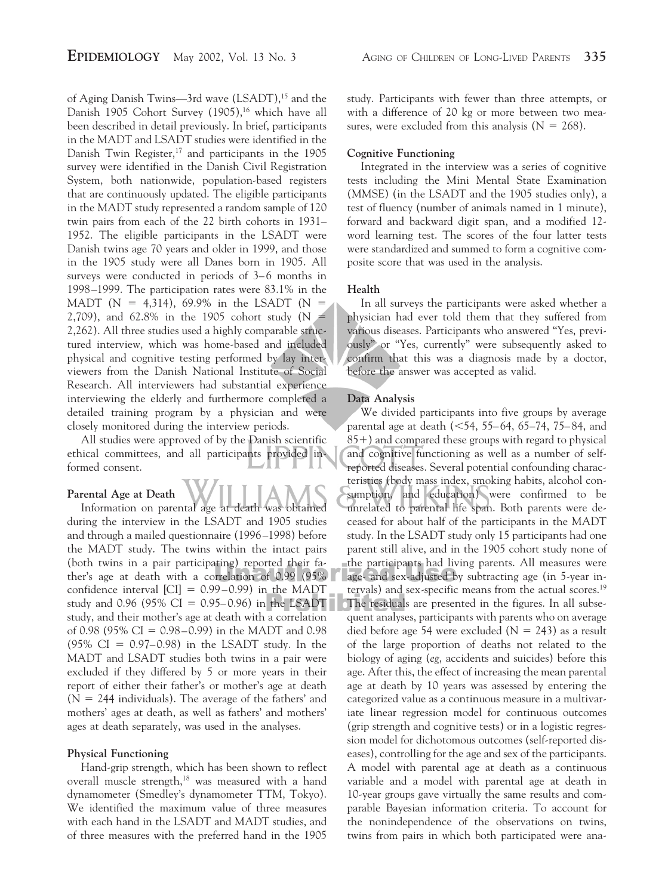of Aging Danish Twins—3rd wave (LSADT),<sup>15</sup> and the Danish 1905 Cohort Survey (1905),<sup>16</sup> which have all been described in detail previously. In brief, participants in the MADT and LSADT studies were identified in the Danish Twin Register, $17$  and participants in the 1905 survey were identified in the Danish Civil Registration System, both nationwide, population-based registers that are continuously updated. The eligible participants in the MADT study represented a random sample of 120 twin pairs from each of the 22 birth cohorts in 1931– 1952. The eligible participants in the LSADT were Danish twins age 70 years and older in 1999, and those in the 1905 study were all Danes born in 1905. All surveys were conducted in periods of 3–6 months in 1998–1999. The participation rates were 83.1% in the MADT (N = 4,314), 69.9% in the LSADT (N = 2,709), and 62.8% in the 1905 cohort study (N 2,262). All three studies used a highly comparable structured interview, which was home-based and included physical and cognitive testing performed by lay interviewers from the Danish National Institute of Social Research. All interviewers had substantial experience interviewing the elderly and furthermore completed a detailed training program by a physician and were closely monitored during the interview periods.

All studies were approved of by the Danish scientific ethical committees, and all participants provided informed consent.

### **Parental Age at Death**

Information on parental age at death was obtained during the interview in the LSADT and 1905 studies and through a mailed questionnaire (1996–1998) before the MADT study. The twins within the intact pairs (both twins in a pair participating) reported their father's age at death with a correlation of 0.99 (95% confidence interval  $\text{[CI]} = 0.99 - 0.99\text{]}$  in the MADT study and 0.96 (95% CI = 0.95–0.96) in the LSADT study, and their mother's age at death with a correlation of 0.98 (95% CI =  $0.98-0.99$ ) in the MADT and 0.98 (95% CI =  $0.97-0.98$ ) in the LSADT study. In the MADT and LSADT studies both twins in a pair were excluded if they differed by 5 or more years in their report of either their father's or mother's age at death  $(N = 244$  individuals). The average of the fathers' and mothers' ages at death, as well as fathers' and mothers' ages at death separately, was used in the analyses.

#### **Physical Functioning**

Hand-grip strength, which has been shown to reflect overall muscle strength,<sup>18</sup> was measured with a hand dynamometer (Smedley's dynamometer TTM, Tokyo). We identified the maximum value of three measures with each hand in the LSADT and MADT studies, and of three measures with the preferred hand in the 1905 study. Participants with fewer than three attempts, or with a difference of 20 kg or more between two measures, were excluded from this analysis  $(N = 268)$ .

#### **Cognitive Functioning**

Integrated in the interview was a series of cognitive tests including the Mini Mental State Examination (MMSE) (in the LSADT and the 1905 studies only), a test of fluency (number of animals named in 1 minute), forward and backward digit span, and a modified 12 word learning test. The scores of the four latter tests were standardized and summed to form a cognitive composite score that was used in the analysis.

#### **Health**

In all surveys the participants were asked whether a physician had ever told them that they suffered from various diseases. Participants who answered "Yes, previously" or "Yes, currently" were subsequently asked to confirm that this was a diagnosis made by a doctor, before the answer was accepted as valid.

#### **Data Analysis**

We divided participants into five groups by average parental age at death  $\left( < 54, 55-64, 65-74, 75-84, \right)$  and 85-) and compared these groups with regard to physical and cognitive functioning as well as a number of selfreported diseases. Several potential confounding characteristics (body mass index, smoking habits, alcohol consumption, and education) were confirmed to be unrelated to parental life span. Both parents were deceased for about half of the participants in the MADT study. In the LSADT study only 15 participants had one parent still alive, and in the 1905 cohort study none of the participants had living parents. All measures were age- and sex-adjusted by subtracting age (in 5-year intervals) and sex-specific means from the actual scores.19 The residuals are presented in the figures. In all subsequent analyses, participants with parents who on average died before age 54 were excluded ( $N = 243$ ) as a result of the large proportion of deaths not related to the biology of aging (*eg*, accidents and suicides) before this age. After this, the effect of increasing the mean parental age at death by 10 years was assessed by entering the categorized value as a continuous measure in a multivariate linear regression model for continuous outcomes (grip strength and cognitive tests) or in a logistic regression model for dichotomous outcomes (self-reported diseases), controlling for the age and sex of the participants. A model with parental age at death as a continuous variable and a model with parental age at death in 10-year groups gave virtually the same results and comparable Bayesian information criteria. To account for the nonindependence of the observations on twins, twins from pairs in which both participated were ana-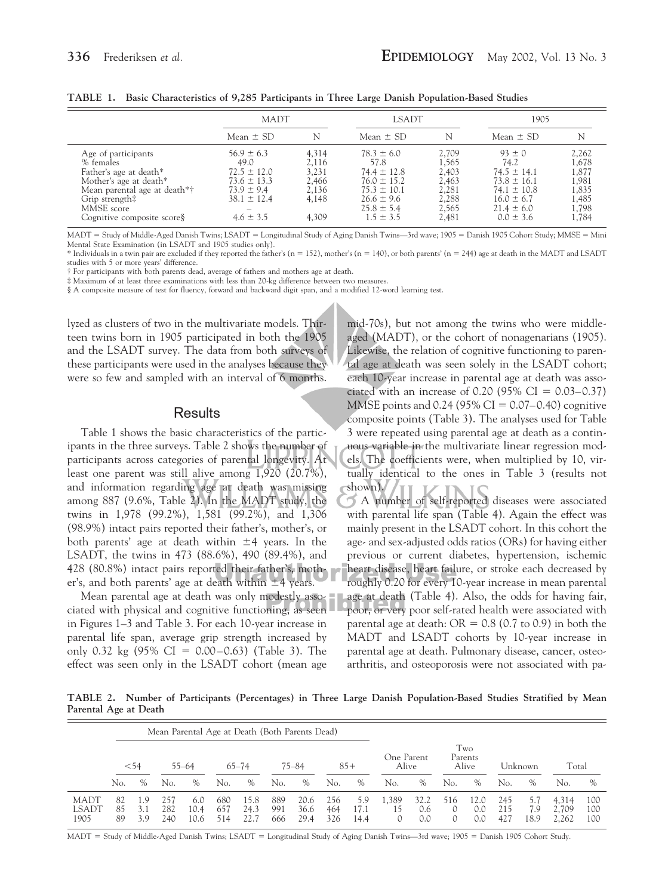|                                                                                                                                                                                    | <b>MADT</b>                                                                                                        |                                                             | <b>LSADT</b>                                                                                                                         |                                                                      | 1905                                                                                                                             |                                                                      |  |
|------------------------------------------------------------------------------------------------------------------------------------------------------------------------------------|--------------------------------------------------------------------------------------------------------------------|-------------------------------------------------------------|--------------------------------------------------------------------------------------------------------------------------------------|----------------------------------------------------------------------|----------------------------------------------------------------------------------------------------------------------------------|----------------------------------------------------------------------|--|
|                                                                                                                                                                                    | Mean $\pm$ SD                                                                                                      | N                                                           | Mean $\pm$ SD                                                                                                                        |                                                                      | Mean $\pm$ SD                                                                                                                    | N                                                                    |  |
| Age of participants<br>% females<br>Father's age at death*<br>Mother's age at death*<br>Mean parental age at death*†<br>Grip strength‡<br>MMSE score<br>Cognitive composite score§ | $56.9 \pm 6.3$<br>49.0<br>$72.5 \pm 12.0$<br>$73.6 \pm 13.3$<br>$73.9 \pm 9.4$<br>$38.1 \pm 12.4$<br>$4.6 \pm 3.5$ | 4,314<br>2,116<br>3.231<br>2,466<br>2,136<br>4,148<br>4,309 | $78.3 \pm 6.0$<br>57.8<br>$74.4 \pm 12.8$<br>$76.0 \pm 15.2$<br>$75.3 \pm 10.1$<br>$26.6 \pm 9.6$<br>$25.8 \pm 5.4$<br>$1.5 \pm 3.5$ | 2,709<br>1,565<br>2,403<br>2,463<br>2,281<br>2,288<br>2.565<br>2,481 | $93 \pm 0$<br>74.2<br>$74.5 \pm 14.1$<br>$73.8 \pm 16.1$<br>$74.1 \pm 10.8$<br>$16.0 \pm 6.7$<br>$21.4 \pm 6.0$<br>$0.0 \pm 3.6$ | 2,262<br>1,678<br>1,877<br>1,981<br>1,835<br>1,485<br>1,798<br>1,784 |  |

**TABLE 1. Basic Characteristics of 9,285 Participants in Three Large Danish Population-Based Studies**

 $MADT = Study of Middle-Aged Danish T wins; LSADT = Longitudinal Study of Aging Danish T wins-3rd wave; 1905 = Danish 1905 Cohort Study; MMSE = Mini$ Mental State Examination (in LSADT and 1905 studies only).

 $*$  Individuals in a twin pair are excluded if they reported the father's (n = 152), mother's (n = 140), or both parents' (n = 244) age at death in the MADT and LSADT studies with 5 or more years' difference.

† For participants with both parents dead, average of fathers and mothers age at death.

‡ Maximum of at least three examinations with less than 20-kg difference between two measures.

§ A composite measure of test for fluency, forward and backward digit span, and a modified 12-word learning test.

lyzed as clusters of two in the multivariate models. Thirteen twins born in 1905 participated in both the 1905 and the LSADT survey. The data from both surveys of these participants were used in the analyses because they were so few and sampled with an interval of 6 months.

### **Results**

Table 1 shows the basic characteristics of the participants in the three surveys. Table 2 shows the number of participants across categories of parental longevity. At least one parent was still alive among 1,920 (20.7%), and information regarding age at death was missing among 887 (9.6%, Table 2). In the MADT study, the twins in 1,978 (99.2%), 1,581 (99.2%), and 1,306 (98.9%) intact pairs reported their father's, mother's, or both parents' age at death within  $\pm 4$  years. In the LSADT, the twins in 473 (88.6%), 490 (89.4%), and 428 (80.8%) intact pairs reported their father's, mother's, and both parents' age at death within  $\pm 4$  years.

Mean parental age at death was only modestly associated with physical and cognitive functioning, as seen in Figures 1–3 and Table 3. For each 10-year increase in parental life span, average grip strength increased by only 0.32 kg  $(95\% \text{ CI} = 0.00{\text -}0.63)$  (Table 3). The effect was seen only in the LSADT cohort (mean age

mid-70s), but not among the twins who were middleaged (MADT), or the cohort of nonagenarians (1905). Likewise, the relation of cognitive functioning to parental age at death was seen solely in the LSADT cohort; each 10-year increase in parental age at death was associated with an increase of 0.20 (95% CI =  $0.03-0.37$ ) MMSE points and  $0.24$  (95% CI = 0.07–0.40) cognitive composite points (Table 3). The analyses used for Table 3 were repeated using parental age at death as a continuous variable in the multivariate linear regression models. The coefficients were, when multiplied by 10, virtually identical to the ones in Table 3 (results not shown).

A number of self-reported diseases were associated with parental life span (Table 4). Again the effect was mainly present in the LSADT cohort. In this cohort the age- and sex-adjusted odds ratios (ORs) for having either previous or current diabetes, hypertension, ischemic heart disease, heart failure, or stroke each decreased by roughly 0.20 for every 10-year increase in mean parental age at death (Table 4). Also, the odds for having fair, poor, or very poor self-rated health were associated with parental age at death:  $OR = 0.8$  (0.7 to 0.9) in both the MADT and LSADT cohorts by 10-year increase in parental age at death. Pulmonary disease, cancer, osteoarthritis, and osteoporosis were not associated with pa-

**TABLE 2. Number of Participants (Percentages) in Three Large Danish Population-Based Studies Stratified by Mean Parental Age at Death**

|                              | Mean Parental Age at Death (Both Parents Dead) |                   |                   |                     |                   |              |                   |                      |                     |                     |                         |                    |          |                    |                   |                    |                         |                   |
|------------------------------|------------------------------------------------|-------------------|-------------------|---------------------|-------------------|--------------|-------------------|----------------------|---------------------|---------------------|-------------------------|--------------------|----------|--------------------|-------------------|--------------------|-------------------------|-------------------|
|                              | $54$<br>$55 - 64$                              |                   |                   | $65 - 74$<br>75–84  |                   |              | $85+$             |                      | One Parent<br>Alive |                     | Two<br>Parents<br>Alive |                    | Unknown  |                    | Total             |                    |                         |                   |
|                              | No.                                            | $\%$              | No.               | $\%$                | No.               | $\%$         | No.               | $\%$                 | No.                 | $\%$                | No.                     | $\%$               | No.      | %                  | No.               | $\%$               | No.                     | $\%$              |
| <b>MADT</b><br>LSADT<br>1905 | 85<br>89                                       | 1.9<br>3.1<br>3.9 | 257<br>282<br>240 | 6.0<br>10.4<br>10.6 | 680<br>657<br>514 | 15.8<br>24.3 | 889<br>991<br>666 | 20.6<br>36.6<br>29.4 | 256<br>464<br>326   | 5.9<br>17.1<br>14.4 | 1,389<br>15             | 32.2<br>0.6<br>0.0 | 516<br>0 | 12.0<br>0.0<br>0.0 | 245<br>215<br>427 | 5.1<br>7.9<br>18.9 | 4,314<br>2.709<br>2,262 | 100<br>100<br>100 |

MADT = Study of Middle-Aged Danish Twins; LSADT = Longitudinal Study of Aging Danish Twins—3rd wave; 1905 = Danish 1905 Cohort Study.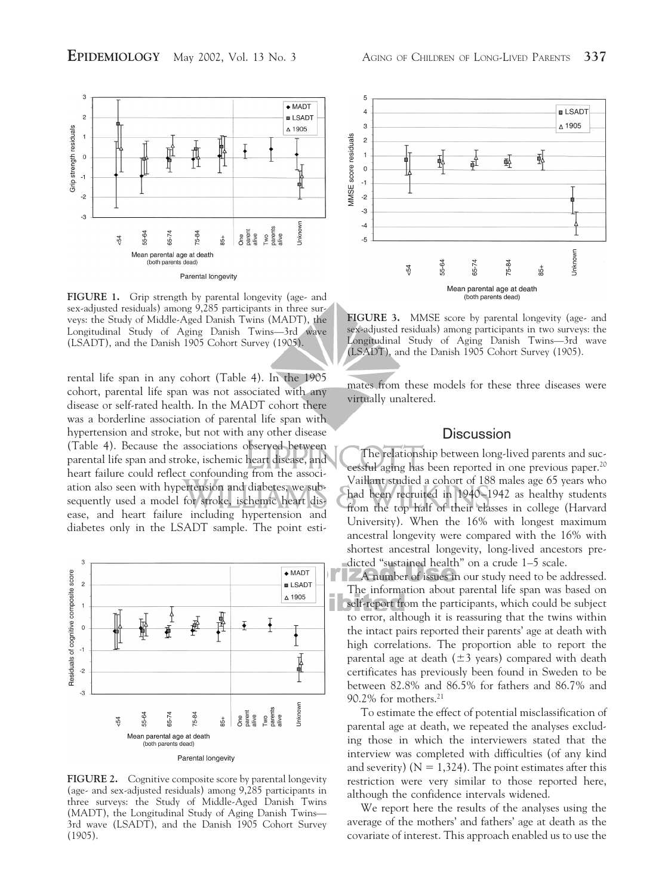

FIGURE 1. Grip strength by parental longevity (age- and sex-adjusted residuals) among 9,285 participants in three surveys: the Study of Middle-Aged Danish Twins (MADT), the Longitudinal Study of Aging Danish Twins—3rd wave (LSADT), and the Danish 1905 Cohort Survey (1905).

rental life span in any cohort (Table 4). In the 1905 cohort, parental life span was not associated with any disease or self-rated health. In the MADT cohort there was a borderline association of parental life span with hypertension and stroke, but not with any other disease (Table 4). Because the associations observed between parental life span and stroke, ischemic heart disease, and heart failure could reflect confounding from the association also seen with hypertension and diabetes, we subsequently used a model for stroke, ischemic heart disease, and heart failure including hypertension and diabetes only in the LSADT sample. The point esti-



**FIGURE 2.** Cognitive composite score by parental longevity (age- and sex-adjusted residuals) among 9,285 participants in three surveys: the Study of Middle-Aged Danish Twins (MADT), the Longitudinal Study of Aging Danish Twins— 3rd wave (LSADT), and the Danish 1905 Cohort Survey (1905).



**FIGURE 3.** MMSE score by parental longevity (age- and sex-adjusted residuals) among participants in two surveys: the Longitudinal Study of Aging Danish Twins—3rd wave (LSADT), and the Danish 1905 Cohort Survey (1905).

mates from these models for these three diseases were virtually unaltered.

## **Discussion**

The relationship between long-lived parents and successful aging has been reported in one previous paper.20 Vaillant studied a cohort of 188 males age 65 years who had been recruited in 1940–1942 as healthy students from the top half of their classes in college (Harvard University). When the 16% with longest maximum ancestral longevity were compared with the 16% with shortest ancestral longevity, long-lived ancestors predicted "sustained health" on a crude 1–5 scale.

A number of issues in our study need to be addressed. The information about parental life span was based on self-report from the participants, which could be subject to error, although it is reassuring that the twins within the intact pairs reported their parents' age at death with high correlations. The proportion able to report the parental age at death  $(\pm 3 \text{ years})$  compared with death certificates has previously been found in Sweden to be between 82.8% and 86.5% for fathers and 86.7% and 90.2% for mothers.21

To estimate the effect of potential misclassification of parental age at death, we repeated the analyses excluding those in which the interviewers stated that the interview was completed with difficulties (of any kind and severity) ( $N = 1,324$ ). The point estimates after this restriction were very similar to those reported here, although the confidence intervals widened.

We report here the results of the analyses using the average of the mothers' and fathers' age at death as the covariate of interest. This approach enabled us to use the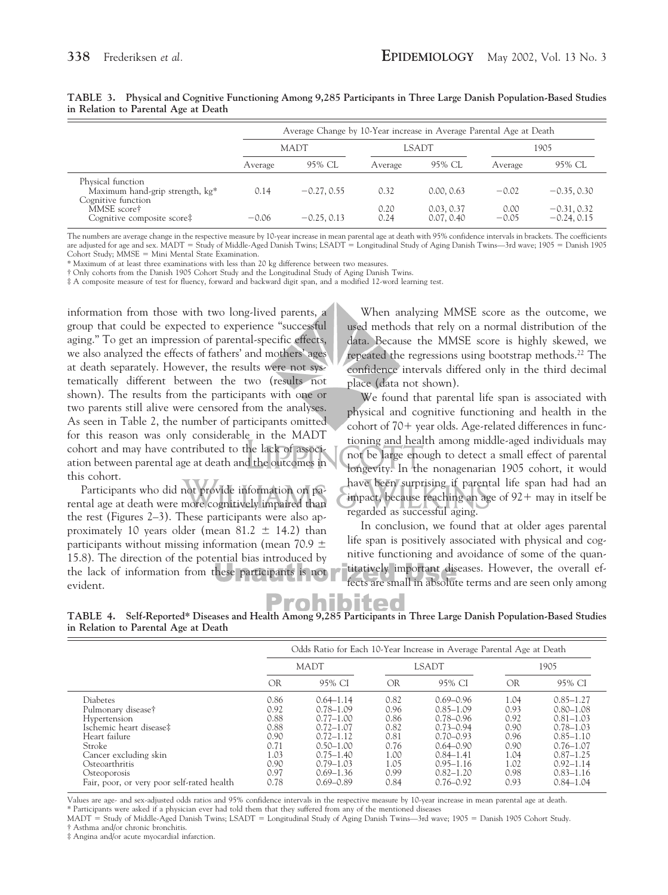|                                                                            | Average Change by 10-Year increase in Average Parental Age at Death |               |              |                          |                 |                                |  |  |  |  |
|----------------------------------------------------------------------------|---------------------------------------------------------------------|---------------|--------------|--------------------------|-----------------|--------------------------------|--|--|--|--|
|                                                                            |                                                                     | <b>MADT</b>   |              | LSADT                    | 1905            |                                |  |  |  |  |
|                                                                            | Average                                                             | 95% CL        | Average      | 95% CL                   | Average         | 95% CL                         |  |  |  |  |
| Physical function<br>Maximum hand-grip strength, kg*<br>Cognitive function | 0.14                                                                | $-0.27, 0.55$ | 0.32         | 0.00, 0.63               | $-0.02$         | $-0.35, 0.30$                  |  |  |  |  |
| MMSE score†<br>Cognitive composite score#                                  | $-0.06$                                                             | $-0.25, 0.13$ | 0.20<br>0.24 | 0.03, 0.37<br>0.07, 0.40 | 0.00<br>$-0.05$ | $-0.31, 0.32$<br>$-0.24, 0.15$ |  |  |  |  |

**TABLE 3. Physical and Cognitive Functioning Among 9,285 Participants in Three Large Danish Population-Based Studies in Relation to Parental Age at Death**

The numbers are average change in the respective measure by 10-year increase in mean parental age at death with 95% confidence intervals in brackets. The coefficients are adjusted for age and sex. MADT = Study of Middle-Aged Danish Twins; LSADT = Longitudinal Study of Aging Danish Twins—3rd wave; 1905 = Danish 1905  $Cohort Study: MMSE = Mini Mental State Examination.$ 

\* Maximum of at least three examinations with less than 20 kg difference between two measures.

† Only cohorts from the Danish 1905 Cohort Study and the Longitudinal Study of Aging Danish Twins.

‡ A composite measure of test for fluency, forward and backward digit span, and a modified 12-word learning test.

information from those with two long-lived parents, a group that could be expected to experience "successful aging." To get an impression of parental-specific effects, we also analyzed the effects of fathers' and mothers' ages at death separately. However, the results were not systematically different between the two (results not shown). The results from the participants with one or two parents still alive were censored from the analyses. As seen in Table 2, the number of participants omitted for this reason was only considerable in the MADT cohort and may have contributed to the lack of association between parental age at death and the outcomes in this cohort.

Participants who did not provide information on parental age at death were more cognitively impaired than the rest (Figures 2–3). These participants were also approximately 10 years older (mean  $81.2 \pm 14.2$ ) than participants without missing information (mean 70.9  $\pm$ 15.8). The direction of the potential bias introduced by the lack of information from these participants is not evident.

When analyzing MMSE score as the outcome, we used methods that rely on a normal distribution of the data. Because the MMSE score is highly skewed, we repeated the regressions using bootstrap methods.<sup>22</sup> The confidence intervals differed only in the third decimal place (data not shown).

We found that parental life span is associated with physical and cognitive functioning and health in the cohort of 70- year olds. Age-related differences in functioning and health among middle-aged individuals may not be large enough to detect a small effect of parental longevity. In the nonagenarian 1905 cohort, it would have been surprising if parental life span had had an impact, because reaching an age of 92+ may in itself be regarded as successful aging.

In conclusion, we found that at older ages parental life span is positively associated with physical and cognitive functioning and avoidance of some of the quantitatively important diseases. However, the overall effects are small in absolute terms and are seen only among

ohi

**TABLE 4. Self-Reported\* Diseases and Health Among 9,285 Participants in Three Large Danish Population-Based Studies in Relation to Parental Age at Death**

|                                                                                                                                                                                                                      | Odds Ratio for Each 10-Year Increase in Average Parental Age at Death        |                                                                                                                                                                        |                                                                              |                                                                                                                                                                        |                                                                              |                                                                                                                                                                        |  |  |  |  |
|----------------------------------------------------------------------------------------------------------------------------------------------------------------------------------------------------------------------|------------------------------------------------------------------------------|------------------------------------------------------------------------------------------------------------------------------------------------------------------------|------------------------------------------------------------------------------|------------------------------------------------------------------------------------------------------------------------------------------------------------------------|------------------------------------------------------------------------------|------------------------------------------------------------------------------------------------------------------------------------------------------------------------|--|--|--|--|
|                                                                                                                                                                                                                      |                                                                              | <b>MADT</b>                                                                                                                                                            |                                                                              | LSADT                                                                                                                                                                  | 1905                                                                         |                                                                                                                                                                        |  |  |  |  |
|                                                                                                                                                                                                                      | OR                                                                           | 95% CI                                                                                                                                                                 | OR                                                                           | 95% CI                                                                                                                                                                 | OR                                                                           | 95% CI                                                                                                                                                                 |  |  |  |  |
| Diabetes<br>Pulmonary disease†<br>Hypertension<br>Ischemic heart disease‡<br>Heart failure<br>Stroke<br>Cancer excluding skin<br>Osteoarthritis<br><b>Osteoporosis</b><br>Fair, poor, or very poor self-rated health | 0.86<br>0.92<br>0.88<br>0.88<br>0.90<br>0.71<br>1.03<br>0.90<br>0.97<br>0.78 | $0.64 - 1.14$<br>$0.78 - 1.09$<br>$0.77 - 1.00$<br>$0.72 - 1.07$<br>$0.72 - 1.12$<br>$0.50 - 1.00$<br>$0.75 - 1.40$<br>$0.79 - 1.03$<br>$0.69 - 1.36$<br>$0.69 - 0.89$ | 0.82<br>0.96<br>0.86<br>0.82<br>0.81<br>0.76<br>1.00<br>1.05<br>0.99<br>0.84 | $0.69 - 0.96$<br>$0.85 - 1.09$<br>$0.78 - 0.96$<br>$0.73 - 0.94$<br>$0.70 - 0.93$<br>$0.64 - 0.90$<br>$0.84 - 1.41$<br>$0.95 - 1.16$<br>$0.82 - 1.20$<br>$0.76 - 0.92$ | 1.04<br>0.93<br>0.92<br>0.90<br>0.96<br>0.90<br>1.04<br>1.02<br>0.98<br>0.93 | $0.85 - 1.27$<br>$0.80 - 1.08$<br>$0.81 - 1.03$<br>$0.78 - 1.03$<br>$0.85 - 1.10$<br>$0.76 - 1.07$<br>$0.87 - 1.25$<br>$0.92 - 1.14$<br>$0.83 - 1.16$<br>$0.84 - 1.04$ |  |  |  |  |

Values are age- and sex-adjusted odds ratios and 95% confidence intervals in the respective measure by 10-year increase in mean parental age at death. \* Participants were asked if a physician ever had told them that they suffered from any of the mentioned diseases

MADT = Study of Middle-Aged Danish Twins; LSADT = Longitudinal Study of Aging Danish Twins—3rd wave; 1905 = Danish 1905 Cohort Study. † Asthma and/or chronic bronchitis.

‡ Angina and/or acute myocardial infarction.